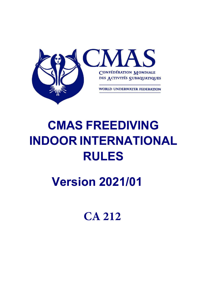

# **CMAS FREEDIVING INDOOR INTERNATIONAL RULES**

**Version 2021/01**

**CA 212**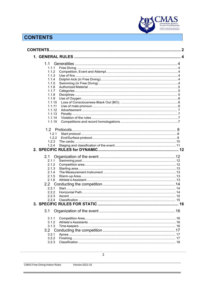

# **CONTENTS**

|        | $\overline{2}$ |
|--------|----------------|
|        |                |
|        |                |
| 1.1    |                |
| 1.1.1  |                |
| 1.1.2  |                |
| 1.1.3  |                |
| 1.1.4  |                |
| 1.1.5  |                |
| 1.1.6  |                |
| 1.1.7  |                |
| 1.1.8  |                |
| 1.1.9  |                |
| 1.1.10 |                |
| 1.1.11 |                |
| 1.1.12 |                |
| 1.1.13 |                |
| 1.1.14 |                |
| 1.1.15 |                |
|        |                |
| 1.2.1  |                |
| 1.2.2  |                |
| 1.2.3  |                |
| 1.2.4  |                |
|        |                |
|        |                |
| 2.1    |                |
| 2.1.1  |                |
| 2.1.2  |                |
| 2.1.3  |                |
| 2.1.4  |                |
| 2.1.5  |                |
| 2.1.6  |                |
|        |                |
| 2.2.1  |                |
| 2.2.2  |                |
| 2.2.3  |                |
| 2.2.4  |                |
|        |                |
|        |                |
| 3.1    |                |
| 3.1.1  |                |
| 3.1.2  |                |
| 3.1.3  |                |
|        |                |
| 3.2.1  |                |
| 3.2.2  |                |
| 3.2.3  |                |
|        |                |

Î.

Version 2021-01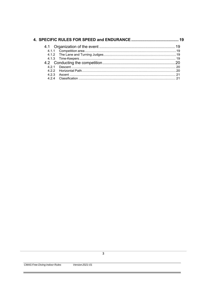| 421 |  |
|-----|--|
|     |  |
| 423 |  |
| 424 |  |

٠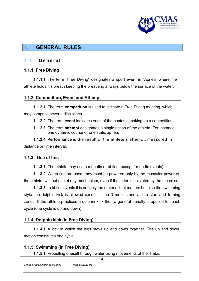

# **1. GENERAL RULES**

## 1.1 General

## **1.1.1 Free Diving**

**1.1.1.1** The term "Free Diving" designates a sport event in "Apnea" where the athlete holds his breath keeping the breathing airways below the surface of the water.

## **1.1.2 Competition, Event and Attempt**

**1.1.2.1** The term **competition** is used to indicate a Free Diving meeting, which may comprise several disciplines.

**1.1.2.2** The term **event** indicates each of the contests making up a competition.

**1.1.2.3** The term **attempt** designates a single action of the athlete. For instance, one dynamic course or one static apnea.

**1.1.2.4 Performance** is the result of the athlete's attempt, measured in distance or time interval.

## **1.1.3 Use of fins**

**1.1.3.1** The athlete may use a monofin or bi-fins (except for no-fin events).

**1.1.3.2** When fins are used, they must be powered only by the muscular power of the athlete, without use of any mechanism, even if the latter is activated by the muscles.

**1.1.3.3** In bi-fins events it is not only the material that matters but also the swimming style: no dolphin kick is allowed except in the 3 meter zone at the start and turning zones. If the athlete practices a dolphin kick then a general penalty is applied for each cycle (one cycle is up and down).

## **1.1.4 Dolphin kick (in Free Diving)**

**1.1.4.1** A kick in which the legs move up and down together. The up and down motion constitutes one cycle.

## **1.1.5 Swimming (in Free Diving)**

**1.1.5.1** Propelling oneself through water using movements of the limbs.

| <b>CMAS Free Diving Indoor Rules</b> | Version 2021-01 |  |  |
|--------------------------------------|-----------------|--|--|
|                                      |                 |  |  |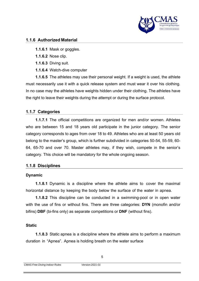

#### **1.1.6 Authorized Material**

- **1.1.6.1** Mask or goggles.
- **1.1.6.2** Nose clip.
- **1.1.6.3** Diving suit.
- **1.1.6.4** Watch-dive computer

**1.1.6.5** The athletes may use their personal weight. If a weight is used, the athlete must necessarily use it with a quick release system and must wear it over his clothing. In no case may the athletes have weights hidden under their clothing. The athletes have the right to leave their weights during the attempt or during the surface protocol.

## **1.1.7 Categories**

**1.1.7.1** The official competitions are organized for men and/or women. Athletes who are between 15 and 18 years old participate in the junior category. The senior category corresponds to ages from over 18 to 49. Athletes who are at least 50 years old belong to the master's group, which is further subdivided in categories 50-54, 55-59, 60- 64, 65-70 and over 70. Master athletes may, if they wish, compete in the senior's category. This choice will be mandatory for the whole ongoing season.

#### **1.1.8 Disciplines**

#### **Dynamic**

**1.1.8.1** Dynamic is a discipline where the athlete aims to cover the maximal horizontal distance by keeping the body below the surface of the water in apnea.

**1.1.8.2** This discipline can be conducted in a swimming-pool or in open water with the use of fins or without fins. There are three categories: **DYN** (monofin and/or bifins) **DBF** (bi-fins only) as separate competitions or **DNF** (without fins).

#### **Static**

**1.1.8.3** Static apnea is a discipline where the athlete aims to perform a maximum duration in "Apnea". Apnea is holding breath on the water surface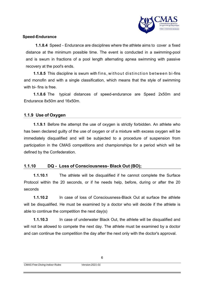

#### **Speed-Endurance**

**1.1.8.4** Speed - Endurance are disciplines where the athlete aims to cover a fixed distance at the minimum possible time. The event is conducted in a swimming-pool and is swum in fractions of a pool length alternating apnea swimming with passive recovery at the pool's ends.

**1.1.8.5** This discipline is swum with fins, without distinction between bi-fins and monofin and with a single classification, which means that the style of swimming with bi- fins is free.

**1.1.8.6** The typical distances of speed-endurance are Speed 2x50m and Endurance 8x50m and 16x50m.

## **1.1.9 Use of Oxygen**

**1.1.9.1** Before the attempt the use of oxygen is strictly forbidden. An athlete who has been declared guilty of the use of oxygen or of a mixture with excess oxygen will be immediately disqualified and will be subjected to a procedure of suspension from participation in the CMAS competitions and championships for a period which will be defined by the Confederation.

#### **1.1.10 DQ - Loss of Consciousness- Black Out (BO);**

**1.1.10.1** The athlete will be disqualified if he cannot complete the Surface Protocol within the 20 seconds, or if he needs help, before, during or after the 20 seconds

**1.1.10.2** In case of loss of Consciousness-Black Out at surface the athlete will be disqualified. He must be examined by a doctor who will decide if the athlete is able to continue the competition the next day(s)

**1.1.10.3** In case of underwater Black Out, the athlete will be disqualified and will not be allowed to compete the next day. The athlete must be examined by a doctor and can continue the competition the day after the next only with the doctor's approval.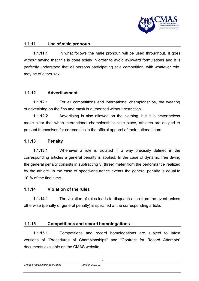

## **1.1.11 Use of male pronoun**

**1.1.11.1** In what follows the male pronoun will be used throughout. It goes without saying that this is done solely in order to avoid awkward formulations and it is perfectly understood that all persons participating at a competition, with whatever role, may be of either sex.

## **1.1.12 Advertisement**

**1.1.12.1** For all competitions and international championships, the wearing of advertising on the fins and mask is authorized without restriction.

**1.1.12.2** Advertising is also allowed on the clothing, but it is nevertheless made clear that when international championships take place, athletes are obliged to present themselves for ceremonies in the official apparel of their national team.

#### **1.1.13 Penalty**

**1.1.13.1** Whenever a rule is violated in a way precisely defined in the corresponding articles a general penalty is applied. In the case of dynamic free diving the general penalty consists in subtracting 3 (three) meter from the performance realized by the athlete. In the case of speed-endurance events the general penalty is equal to 10 % of the final time.

#### **1.1.14 Violation of the rules**

**1.1.14.1** The violation of rules leads to disqualification from the event unless otherwise (penalty or general penalty) is specified at the corresponding article.

#### **1.1.15 Competitions and record homologations**

**1.1.15.1** Competitions and record homologations are subject to latest versions of "Procedures of Championships" and "Contract for Record Attempts" documents available on the CMAS website.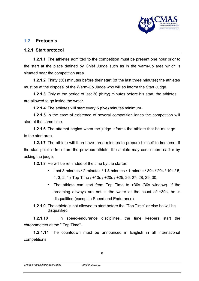

## **1.2 Protocols**

#### **1.2.1 Start protocol**

**1.2.1.1** The athletes admitted to the competition must be present one hour prior to the start at the place defined by Chief Judge such as in the warm-up area which is situated near the competition area.

**1.2.1.2** Thirty (30) minutes before their start (of the last three minutes) the athletes must be at the disposal of the Warm-Up Judge who will so inform the Start Judge.

**1.2.1.3** Only at the period of last 30 (thirty) minutes before his start, the athletes are allowed to go inside the water.

**1.2.1.4** The athletes will start every 5 (five) minutes minimum.

**1.2.1.5** In the case of existence of several competition lanes the competition will start at the same time.

**1.2.1.6** The attempt begins when the judge informs the athlete that he must go to the start area.

**1.2.1.7** The athlete will then have three minutes to prepare himself to immerse. If the start point is free from the previous athlete, the athlete may come there earlier by asking the judge.

**1.2.1.8** He will be reminded of the time by the starter;

- Last 3 minutes / 2 minutes / 1.5 minutes / 1 minute / 30s / 20s / 10s / 5, 4, 3, 2, 1 / Top Time / +10s / +20s / +25, 26, 27, 28, 29, 30.
- The athlete can start from Top Time to +30s (30s window). If the breathing airways are not in the water at the count of +30s, he is disqualified (except in Speed and Endurance).
- **1.2.1.9** The athlete is not allowed to start before the "Top Time" or else he will be disqualified

**1.2.1.10** In speed-endurance disciplines, the time keepers start the chronometers at the " Top Time".

**1.2.1.11** The countdown must be announced in English in all international competitions.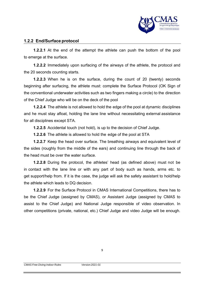

### **1.2.2 End/Surface protocol**

**1.2.2.1** At the end of the attempt the athlete can push the bottom of the pool to emerge at the surface.

**1.2.2.2** Immediately upon surfacing of the airways of the athlete, the protocol and the 20 seconds counting starts.

**1.2.2.3** When he is on the surface, during the count of 20 (twenty) seconds beginning after surfacing, the athlete must: complete the Surface Protocol (OK Sign of the conventional underwater activities such as two fingers making a circle) to the direction of the Chief Judge who will be on the deck of the pool

**1.2.2.4** The athlete is not allowed to hold the edge of the pool at dynamic disciplines and he must stay afloat, holding the lane line without necessitating external assistance for all disciplines except STA.

**1.2.2.5** Accidental touch (not hold), is up to the decision of Chief Judge.

**1.2.2.6** The athlete is allowed to hold the edge of the pool at STA

**1.2.2.7** Keep the head over surface. The breathing airways and equivalent level of the sides (roughly from the middle of the ears) and continuing line through the back of the head must be over the water surface.

**1.2.2.8** During the protocol, the athletes' head (as defined above) must not be in contact with the lane line or with any part of body such as hands, arms etc. to get support/help from. If it is the case, the judge will ask the safety assistant to hold/help the athlete which leads to DQ decision.

**1.2.2.9** For the Surface Protocol in CMAS International Competitions, there has to be the Chief Judge (assigned by CMAS), or Assistant Judge (assigned by CMAS to assist to the Chief Judge) and National Judge responsible of video observation. In other competitions (private, national, etc.) Chief Judge and video Judge will be enough.

9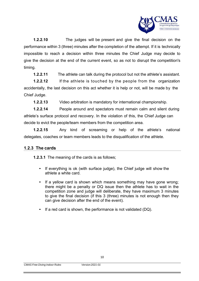

**1.2.2.10** The judges will be present and give the final decision on the performance within 3 (three) minutes after the completion of the attempt. If it is technically impossible to reach a decision within three minutes the Chief Judge may decide to give the decision at the end of the current event, so as not to disrupt the competition's timing.

**1.2.2.11** The athlete can talk during the protocol but not the athlete's assistant.

**1.2.2.12** If the athlete is touched by the people from the organization accidentally, the last decision on this act whether it is help or not, will be made by the Chief Judge.

**1.2.2.13** Video arbitration is mandatory for international championship.

**1.2.2.14** People around and spectators must remain calm and silent during athlete's surface protocol and recovery. In the violation of this, the Chief Judge can decide to evict the people/team members from the competition area.

**1.2.2.15** Any kind of screaming or help of the athlete's national delegates, coaches or team members leads to the disqualification of the athlete.

## **1.2.3 The cards**

**1.2.3.1** The meaning of the cards is as follows;

- If everything is ok (with surface judge), the Chief judge will show the athlete a white card.
- If a yellow card is shown which means something may have gone wrong; there might be a penalty or DQ issue then the athlete has to wait in the competition zone and judge will deliberate, they have maximum 3 minutes to give the final decision (if this 3 (three) minutes is not enough then they can give decision after the end of the event).
- If a red card is shown, the performance is not validated (DQ).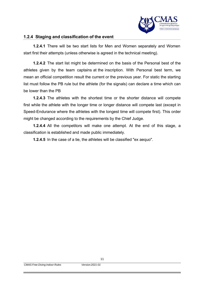

#### **1.2.4 Staging and classification of the event**

**1.2.4.1** There will be two start lists for Men and Women separately and Women start first their attempts (unless otherwise is agreed in the technical meeting).

**1.2.4.2** The start list might be determined on the basis of the Personal best of the athletes given by the team captains at the inscription. With Personal best term, we mean an official competition result the current or the previous year. For static the starting list must follow the PB rule but the athlete (for the signals) can declare a time which can be lower than the PB

**1.2.4.3** The athletes with the shortest time or the shorter distance will compete first while the athlete with the longer time or longer distance will compete last (except in Speed-Endurance where the athletes with the longest time will compete first). This order might be changed according to the requirements by the Chief Judge.

**1.2.4.4** All the competitors will make one attempt. At the end of this stage, a classification is established and made public immediately.

**1.2.4.5** In the case of a tie, the athletes will be classified "ex aequo".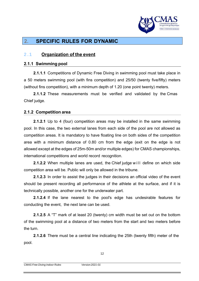

# **2. SPECIFIC RULES FOR DYNAMIC**

## 2.1 **Organization of the event**

#### **2.1.1 Swimming pool**

**2.1.1.1** Competitions of Dynamic Free Diving in swimming pool must take place in a 50 meters swimming pool (with fins competition) and 25/50 (twenty five/fifty) meters (without fins competition), with a minimum depth of 1.20 (one point twenty) meters.

**2.1.1.2** These measurements must be verified and validated by the Cmas Chief judge.

#### **2.1.2 Competition area**

**2.1.2.1** Up to 4 (four) competition areas may be installed in the same swimming pool. In this case, the two external lanes from each side of the pool are not allowed as competition areas. It is mandatory to have floating line on both sides of the competition area with a minimum distance of 0.80 cm from the edge (exit on the edge is not allowed except at the edges of 25m-50m and/or multiple edges) for CMAS championships, international competitions and world record recognition.

**2.1.2.2** When multiple lanes are used, the Chief judge will define on which side competition area will be. Public will only be allowed in the tribune.

**2.1.2.3** In order to assist the judges in their decisions an official video of the event should be present recording all performance of the athlete at the surface, and if it is technically possible, another one for the underwater part.

**2.1.2.4** If the lane nearest to the pool's edge has undesirable features for conducting the event, the next lane can be used.

**2.1.2.5** A "T" mark of at least 20 (twenty) cm width must be set out on the bottom of the swimming pool at a distance of two meters from the start and two meters before the turn.

**2.1.2.6** There must be a central line indicating the 25th (twenty fifth) meter of the pool.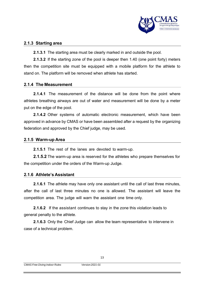

#### **2.1.3 Starting area**

**2.1.3.1** The starting area must be clearly marked in and outside the pool.

**2.1.3.2** If the starting zone of the pool is deeper then 1.40 (one point forty) meters then the competition site must be equipped with a mobile platform for the athlete to stand on. The platform will be removed when athlete has started.

#### **2.1.4 The Measurement**

**2.1.4.1** The measurement of the distance will be done from the point where athletes breathing airways are out of water and measurement will be done by a meter put on the edge of the pool.

**2.1.4.2** Other systems of automatic electronic measurement, which have been approved in advance by CMAS or have been assembled after a request by the organizing federation and approved by the Chief judge, may be used.

#### **2.1.5 Warm-up Area**

**2.1.5.1** The rest of the lanes are devoted to warm-up.

**2.1.5.2** The warm-up area is reserved for the athletes who prepare themselves for the competition under the orders of the Warm-up Judge.

#### **2.1.6 Athlete's Assistant**

**2.1.6.1** The athlete may have only one assistant until the call of last three minutes, after the call of last three minutes no one is allowed. The assistant will leave the competition area. The judge will warn the assistant one time only.

**2.1.6.2** If the assistant continues to stay in the zone this violation leads to general penalty to the athlete.

**2.1.6.3** Only the Chief Judge can allow the team representative to intervene in case of a technical problem.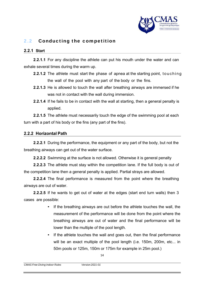

## 2.2 Conducting the competition

#### **2.2.1 Start**

**2.2.1.1** For any discipline the athlete can put his mouth under the water and can exhale several times during the warm up.

- **2.2.1.2** The athlete must start the phase of apnea at the starting point, touching the wall of the pool with any part of the body or the fins.
- **2.2.1.3** He is allowed to touch the wall after breathing airways are immersed if he was not in contact with the wall during immersion.
- **2.2.1.4** If he fails to be in contact with the wall at starting, then a general penalty is applied.

**2.2.1.5** The athlete must necessarily touch the edge of the swimming pool at each turn with a part of his body or the fins (any part of the fins).

#### **2.2.2 Horizontal Path**

**2.2.2.1** During the performance, the equipment or any part of the body, but not the breathing airways can get out of the water surface.

**2.2.2.2** Swimming at the surface is not allowed. Otherwise it is general penalty

**2.2.2.3** The athlete must stay within the competition lane. If the full body is out of the competition lane then a general penalty is applied. Partial strays are allowed.

**2.2.2.4** The final performance is measured from the point where the breathing airways are out of water.

**2.2.2.5** If he wants to get out of water at the edges (start end turn walls) then 3 cases are possible:

- If the breathing airways are out before the athlete touches the wall, the measurement of the performance will be done from the point where the breathing airways are out of water and the final performance will be lower than the multiple of the pool length.
- If the athlete touches the wall and goes out, then the final performance will be an exact multiple of the pool length (i.e. 150m, 200m, etc... in 50m pools or 125m, 150m or 175m for example in 25m pool.)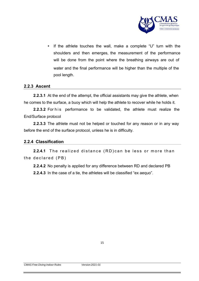

• If the athlete touches the wall, make a complete "U" turn with the shoulders and then emerges, the measurement of the performance will be done from the point where the breathing airways are out of water and the final performance will be higher than the multiple of the pool length.

#### **2.2.3 Ascent**

**2.2.3.1** At the end of the attempt, the official assistants may give the athlete, when he comes to the surface, a buoy which will help the athlete to recover while he holds it.

**2.2.3.2** For his performance to be validated, the athlete must realize the End/Surface protocol

**2.2.3.3** The athlete must not be helped or touched for any reason or in any way before the end of the surface protocol, unless he is in difficulty.

#### **2.2.4 Classification**

**2.2.4.1** The realized distance (RD) can be less or more than the declared  $(PB)$ 

**2.2.4.2** No penalty is applied for any difference between RD and declared PB **2.2.4.3** In the case of a tie, the athletes will be classified "ex aequo".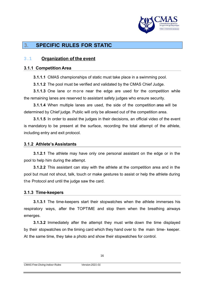

# **3. SPECIFIC RULES FOR STATIC**

## 3.1 **Organization of the event**

#### **3.1.1 Competition Area**

**3.1.1.1** CMAS championships of static must take place in a swimming pool.

**3.1.1.2** The pool must be verified and validated by the CMAS Chief Judge.

**3.1.1.3** One lane or more near the edge are used for the competition while the remaining lanes are reserved to assistant safety judges who ensure security.

**3.1.1.4** When multiple lanes are used, the side of the competition area will be determined by Chief judge. Public will only be allowed out of the competition area.

**3.1.1.5** In order to assist the judges in their decisions, an official video of the event is mandatory to be present at the surface, recording the total attempt of the athlete, including entry and exit protocol.

#### **3.1.2 Athlete's Assistants**

**3.1.2.1** The athlete may have only one personal assistant on the edge or in the pool to help him during the attempt.

**3.1.2.2** This assistant can stay with the athlete at the competition area and in the pool but must not shout, talk, touch or make gestures to assist or help the athlete during the Protocol and until the judge saw the card.

#### **3.1.3 Time-keepers**

**3.1.3.1** The time-keepers start their stopwatches when the athlete immerses his respiratory ways, after the TOPTIME and stop them when the breathing airways emerges.

**3.1.3.2** Immediately after the attempt they must write down the time displayed by their stopwatches on the timing card which they hand over to the main time- keeper. At the same time, they take a photo and show their stopwatches for control.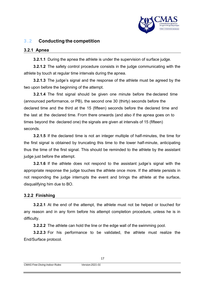

## 3.2 **Conducting the competition**

#### **3.2.1 Apnea**

**3.2.1.1** During the apnea the athlete is under the supervision of surface judge.

**3.2.1.2** The safety control procedure consists in the judge communicating with the athlete by touch at regular time intervals during the apnea.

**3.2.1.3** The judge's signal and the response of the athlete must be agreed by the two upon before the beginning of the attempt.

**3.2.1.4** The first signal should be given one minute before the declared time (announced performance, or PB), the second one 30 (thirty) seconds before the declared time and the third at the 15 (fifteen) seconds before the declared time and the last at the declared time. From there onwards (and also if the apnea goes on to times beyond the declared one) the signals are given at intervals of 15 (fifteen) seconds.

**3.2.1.5** If the declared time is not an integer multiple of half-minutes, the time for the first signal is obtained by truncating this time to the lower half-minute, anticipating thus the time of the first signal. This should be reminded to the athlete by the assistant judge just before the attempt.

**3.2.1.6** If the athlete does not respond to the assistant judge's signal with the appropriate response the judge touches the athlete once more. If the athlete persists in not responding the judge interrupts the event and brings the athlete at the surface, disqualifying him due to BO.

#### **3.2.2 Finishing**

**3.2.2.1** At the end of the attempt, the athlete must not be helped or touched for any reason and in any form before his attempt completion procedure, unless he is in difficulty.

**3.2.2.2** The athlete can hold the line or the edge wall of the swimming pool.

**3.2.2.3** For his performance to be validated, the athlete must realize the End/Surface protocol.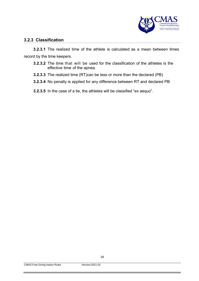

#### **3.2.3 Classification**

**3.2.3.1** The realized time of the athlete is calculated as a mean between times record by the time keepers.

- **3.2.3.2** The time that will be used for the classification of the athletes is the effective time of the apnea.
- **3.2.3.3** The realized time (RT)can be less or more than the declared (PB)
- **3.2.3.4** No penalty is applied for any difference between RT and declared PB

**3.2.3.5** In the case of a tie, the athletes will be classified "ex aequo".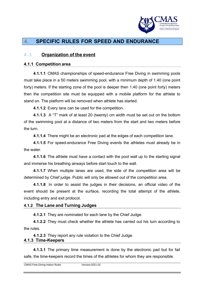

# **4. SPECIFIC RULES FOR SPEED AND ENDURANCE**

## 4.1 **Organization of the event**

#### **4.1.1 Competition area**

**4.1.1.1** CMAS championships of speed-endurance Free Diving in swimming pools must take place in a 50 meters swimming pool, with a minimum depth of 1.40 (one point forty) meters. If the starting zone of the pool is deeper then 1.40 (one point forty) meters then the competition site must be equipped with a mobile platform for the athlete to stand on. The platform will be removed when athlete has started.

**4.1.1.2** Every lane can be used for the competition.

**4.1.1.3** A "T" mark of at least 20 (twenty) cm width must be set out on the bottom of the swimming pool at a distance of two meters from the start and two meters before the turn.

**4.1.1.4** There might be an electronic pad at the edges of each competition lane.

**4.1.1.5** For speed-endurance Free Diving events the athletes must already be in the water.

**4.1.1.6** The athlete must have a contact with the pool wall up to the starting signal and immerse his breathing airways before start touch to the wall.

**4.1.1.7** When multiple lanes are used, the side of the competition area will be determined by Chief judge. Public will only be allowed out of the competition area.

**4.1.1.8** In order to assist the judges in their decisions, an official video of the event should be present at the surface, recording the total attempt of the athlete, including entry and exit protocol.

#### **4.1.2 The Lane and Turning Judges**

**4.1.2.1** They are nominated for each lane by the Chief Judge.

**4.1.2.2** They must check whether the athlete has carried out his turn according to the rules.

**4.1.2.3** They report any rule violation to the Chief Judge.

#### **4.1.3 Time-Keepers**

**4.1.3.1** The primary time measurement is done by the electronic pad but for fail safe, the time-keepers record the times of the athletes for whom they are responsible.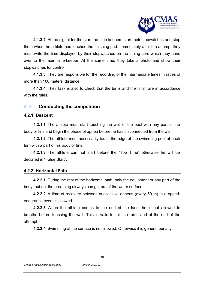

**4.1.3.2** At the signal for the start the time-keepers start their stopwatches and stop them when the athlete has touched the finishing pad. Immediately after the attempt they must write the time displayed by their stopwatches on the timing card which they hand over to the main time-keeper. At the same time, they take a photo and show their stopwatches for control.

**4.1.3.3** They are responsible for the recording of the intermediate times in races of more than 100 meters' distance.

**4.1.3.4** Their task is also to check that the turns and the finish are in accordance with the rules.

## 4.2 **Conducting the competition**

#### **4.2.1 Descent**

**4.2.1.1** The athlete must start touching the wall of the pool with any part of the body or fins and begin the phase of apnea before he has disconnected from the wall.

**4.2.1.2** The athlete must necessarily touch the edge of the swimming pool at each turn with a part of his body or fins.

**4.2.1.3** The athlete can not start before the "Top Time" otherwise he will be declared in "False Start".

#### **4.2.2 Horizontal Path**

**4.2.2.1** During the rest of the horizontal path, only the equipment or any part of the body, but not the breathing airways can get out of the water surface.

**4.2.2.2** A time of recovery between successive apneas (every 50 m) in a speedendurance event is allowed.

**4.2.2.3** When the athlete comes to the end of the lane, he is not allowed to breathe before touching the wall. This is valid for all the turns and at the end of the attempt.

**4.2.2.4** Swimming at the surface is not allowed. Otherwise it is general penalty.